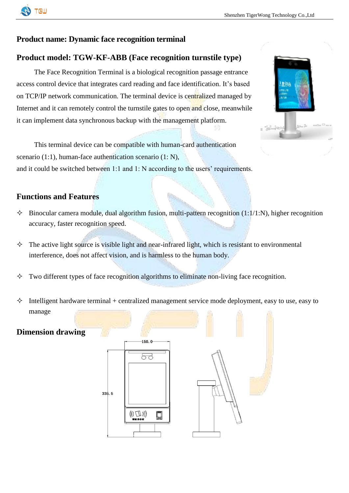

### **Product name: Dynamic face recognition terminal**

## **Product model: TGW-KF-ABB (Face recognition turnstile type)**

The Face Recognition Terminal is a biological recognition passage entrance access control device that integrates card reading and face identification. It's based on TCP/IP network communication. The terminal device is centralized managed by Internet and it can remotely control the turnstile gates to open and close, meanwhile it can implement data synchronous backup with the management platform.



This terminal device can be compatible with human-card authentication scenario (1:1), human-face authentication scenario (1: N), and it could be switched between 1:1 and 1: N according to the users' requirements.

#### **Functions and Features**

- $\Diamond$  Binocular camera module, dual algorithm fusion, multi-pattern recognition (1:1/1:N), higher recognition accuracy, faster recognition speed.
- $\Diamond$  The active light source is visible light and near-infrared light, which is resistant to environmental interference, does not affect vision, and is harmless to the human body.
- $\Diamond$  Two different types of face recognition algorithms to eliminate non-living face recognition.
- $\Diamond$  Intelligent hardware terminal + centralized management service mode deployment, easy to use, easy to manage

#### **Dimension drawing**